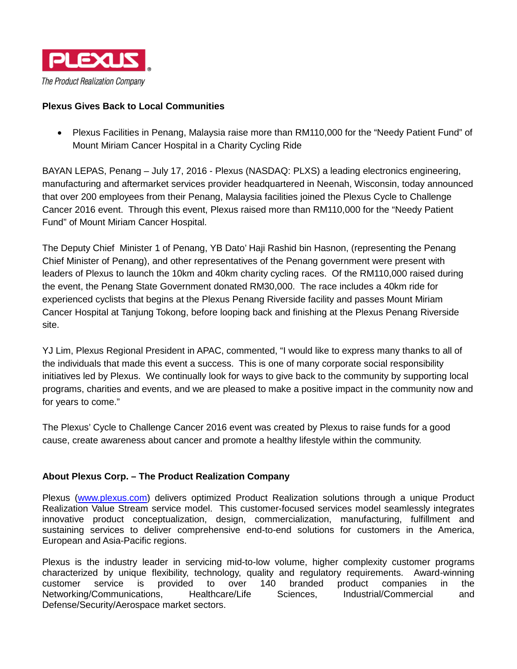

## **Plexus Gives Back to Local Communities**

• Plexus Facilities in Penang, Malaysia raise more than RM110,000 for the "Needy Patient Fund" of Mount Miriam Cancer Hospital in a Charity Cycling Ride

BAYAN LEPAS, Penang – July 17, 2016 - Plexus (NASDAQ: PLXS) a leading electronics engineering, manufacturing and aftermarket services provider headquartered in Neenah, Wisconsin, today announced that over 200 employees from their Penang, Malaysia facilities joined the Plexus Cycle to Challenge Cancer 2016 event. Through this event, Plexus raised more than RM110,000 for the "Needy Patient Fund" of Mount Miriam Cancer Hospital.

The Deputy Chief Minister 1 of Penang, YB Dato' Haji Rashid bin Hasnon, (representing the Penang Chief Minister of Penang), and other representatives of the Penang government were present with leaders of Plexus to launch the 10km and 40km charity cycling races. Of the RM110,000 raised during the event, the Penang State Government donated RM30,000. The race includes a 40km ride for experienced cyclists that begins at the Plexus Penang Riverside facility and passes Mount Miriam Cancer Hospital at Tanjung Tokong, before looping back and finishing at the Plexus Penang Riverside site.

YJ Lim, Plexus Regional President in APAC, commented, "I would like to express many thanks to all of the individuals that made this event a success. This is one of many corporate social responsibility initiatives led by Plexus. We continually look for ways to give back to the community by supporting local programs, charities and events, and we are pleased to make a positive impact in the community now and for years to come."

The Plexus' Cycle to Challenge Cancer 2016 event was created by Plexus to raise funds for a good cause, create awareness about cancer and promote a healthy lifestyle within the community.

## **About Plexus Corp. – The Product Realization Company**

Plexus [\(www.plexus.com\)](file://neen-dsk-002/data02/PLXS/INVREL/Press%20releases/2015/www.plexus.com) delivers optimized Product Realization solutions through a unique Product Realization Value Stream service model. This customer-focused services model seamlessly integrates innovative product conceptualization, design, commercialization, manufacturing, fulfillment and sustaining services to deliver comprehensive end-to-end solutions for customers in the America, European and Asia-Pacific regions.

Plexus is the industry leader in servicing mid-to-low volume, higher complexity customer programs characterized by unique flexibility, technology, quality and regulatory requirements. Award-winning customer service is provided to over 140 branded product companies in the Networking/Communications, Healthcare/Life Sciences, Industrial/Commercial and Defense/Security/Aerospace market sectors.